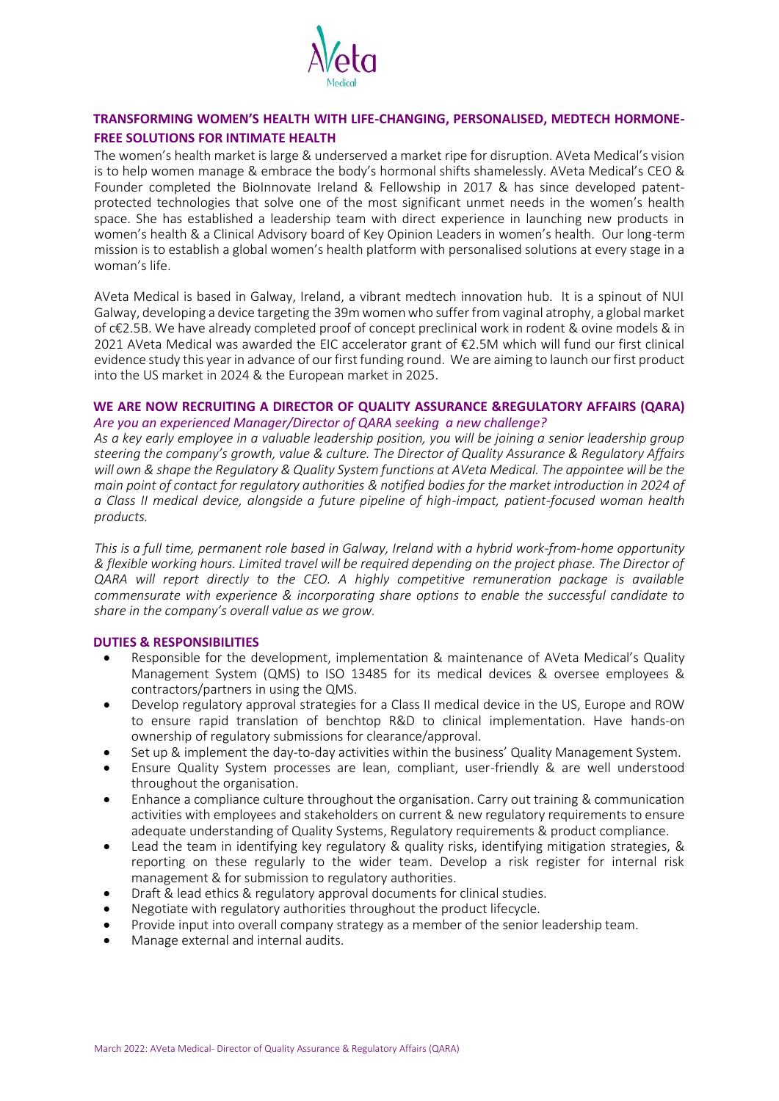

# **TRANSFORMING WOMEN'S HEALTH WITH LIFE-CHANGING, PERSONALISED, MEDTECH HORMONE-FREE SOLUTIONS FOR INTIMATE HEALTH**

The women's health market is large & underserved a market ripe for disruption. AVeta Medical's vision is to help women manage & embrace the body's hormonal shifts shamelessly. AVeta Medical's CEO & Founder completed the BioInnovate Ireland & Fellowship in 2017 & has since developed patentprotected technologies that solve one of the most significant unmet needs in the women's health space. She has established a leadership team with direct experience in launching new products in women's health & a Clinical Advisory board of Key Opinion Leaders in women's health. Our long-term mission is to establish a global women's health platform with personalised solutions at every stage in a woman's life.

AVeta Medical is based in Galway, Ireland, a vibrant medtech innovation hub. It is a spinout of NUI Galway, developing a device targeting the 39m women who suffer from vaginal atrophy, a global market of c€2.5B. We have already completed proof of concept preclinical work in rodent & ovine models & in 2021 AVeta Medical was awarded the EIC accelerator grant of €2.5M which will fund our first clinical evidence study this year in advance of our first funding round. We are aiming to launch our first product into the US market in 2024 & the European market in 2025.

# WE ARE NOW RECRUITING A DIRECTOR OF QUALITY ASSURANCE &REGULATORY AFFAIRS (QARA) *Are you an experienced Manager/Director of QARA seeking a new challenge?*

*As a key early employee in a valuable leadership position, you will be joining a senior leadership group steering the company's growth, value & culture. The Director of Quality Assurance & Regulatory Affairs will own & shape the Regulatory & Quality System functions at AVeta Medical. The appointee will be the main point of contact for regulatory authorities & notified bodies for the market introduction in 2024 of a Class II medical device, alongside a future pipeline of high-impact, patient-focused woman health products.* 

*This is a full time, permanent role based in Galway, Ireland with a hybrid work-from-home opportunity & flexible working hours. Limited travel will be required depending on the project phase. The Director of QARA will report directly to the CEO. A highly competitive remuneration package is available commensurate with experience & incorporating share options to enable the successful candidate to share in the company's overall value as we grow.* 

### **DUTIES & RESPONSIBILITIES**

- Responsible for the development, implementation & maintenance of AVeta Medical's Quality Management System (QMS) to ISO 13485 for its medical devices & oversee employees & contractors/partners in using the QMS.
- Develop regulatory approval strategies for a Class II medical device in the US, Europe and ROW to ensure rapid translation of benchtop R&D to clinical implementation. Have hands-on ownership of regulatory submissions for clearance/approval.
- Set up & implement the day-to-day activities within the business' Quality Management System.
- Ensure Quality System processes are lean, compliant, user-friendly & are well understood throughout the organisation.
- Enhance a compliance culture throughout the organisation. Carry out training & communication activities with employees and stakeholders on current & new regulatory requirements to ensure adequate understanding of Quality Systems, Regulatory requirements & product compliance.
- Lead the team in identifying key regulatory & quality risks, identifying mitigation strategies, & reporting on these regularly to the wider team. Develop a risk register for internal risk management & for submission to regulatory authorities.
- Draft & lead ethics & regulatory approval documents for clinical studies.
- Negotiate with regulatory authorities throughout the product lifecycle.
- Provide input into overall company strategy as a member of the senior leadership team.
- Manage external and internal audits.